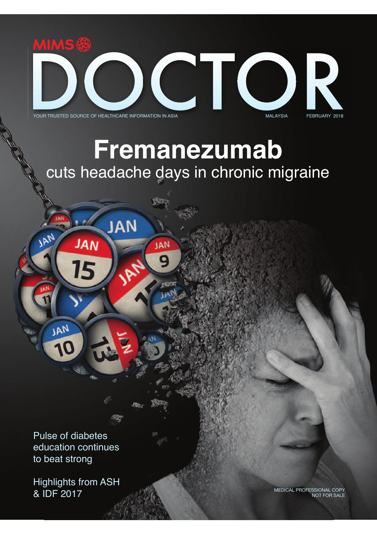

**CHIC** O 



YOUR TRUSTED SOURCE OF HEALTHCARE INFORMATION IN ASIA **MALAYSIA MALAYSIA** FEBRUARY 2018

**JAN** 

q,

**JAN** 

Q

**JAN** 

15

# **Fremanezumab** cuts headache days in chronic migraine

Pulse of diabetes education continues to beat strong

**JAN** 

JAN

Highlights from ASH & IDF 2017

MEDICAL PROFESSIONAL COPY NOT FOR SALE